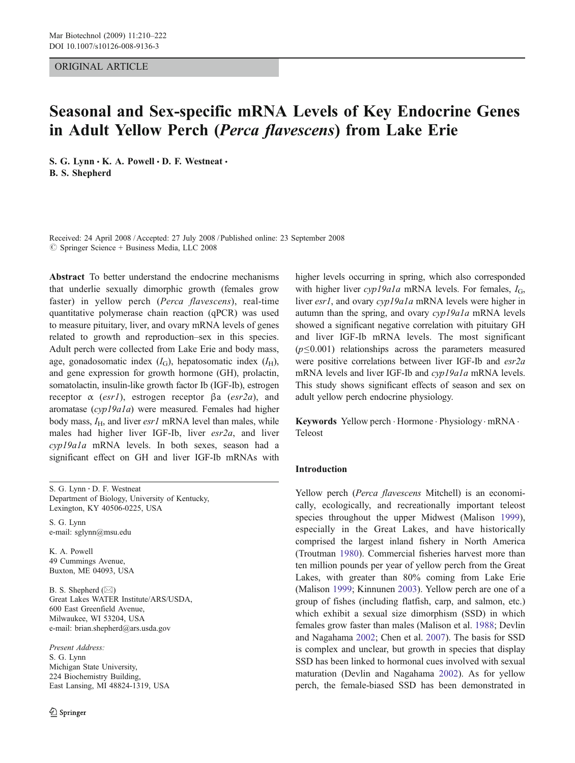# ORIGINAL ARTICLE

# Seasonal and Sex-specific mRNA Levels of Key Endocrine Genes in Adult Yellow Perch (Perca flavescens) from Lake Erie

S. G. Lynn  $\cdot$  K. A. Powell  $\cdot$  D. F. Westneat  $\cdot$ B. S. Shepherd

Received: 24 April 2008 /Accepted: 27 July 2008 / Published online: 23 September 2008  $\circledcirc$  Springer Science + Business Media, LLC 2008

Abstract To better understand the endocrine mechanisms that underlie sexually dimorphic growth (females grow faster) in yellow perch (Perca flavescens), real-time quantitative polymerase chain reaction (qPCR) was used to measure pituitary, liver, and ovary mRNA levels of genes related to growth and reproduction–sex in this species. Adult perch were collected from Lake Erie and body mass, age, gonadosomatic index  $(I_G)$ , hepatosomatic index  $(I_H)$ , and gene expression for growth hormone (GH), prolactin, somatolactin, insulin-like growth factor Ib (IGF-Ib), estrogen receptor  $\alpha$  (esr1), estrogen receptor βa (esr2a), and aromatase (cyp19a1a) were measured. Females had higher body mass,  $I_H$ , and liver esr1 mRNA level than males, while males had higher liver IGF-Ib, liver esr2a, and liver cyp19a1a mRNA levels. In both sexes, season had a significant effect on GH and liver IGF-Ib mRNAs with

S. G. Lynn *:* D. F. Westneat Department of Biology, University of Kentucky, Lexington, KY 40506-0225, USA

S. G. Lynn e-mail: sglynn@msu.edu

K. A. Powell 49 Cummings Avenue, Buxton, ME 04093, USA

B. S. Shepherd ( $\boxtimes$ ) Great Lakes WATER Institute/ARS/USDA, 600 East Greenfield Avenue, Milwaukee, WI 53204, USA e-mail: brian.shepherd@ars.usda.gov

Present Address: S. G. Lynn Michigan State University, 224 Biochemistry Building, East Lansing, MI 48824-1319, USA higher levels occurring in spring, which also corresponded with higher liver  $cyp19a1a$  mRNA levels. For females,  $I_G$ , liver esr1, and ovary cyp19a1a mRNA levels were higher in autumn than the spring, and ovary cyp19a1a mRNA levels showed a significant negative correlation with pituitary GH and liver IGF-Ib mRNA levels. The most significant  $(p \le 0.001)$  relationships across the parameters measured were positive correlations between liver IGF-Ib and  $\exp 2a$ mRNA levels and liver IGF-Ib and cyp19a1a mRNA levels. This study shows significant effects of season and sex on adult yellow perch endocrine physiology.

Keywords Yellow perch . Hormone . Physiology. mRNA . Teleost

# Introduction

Yellow perch (Perca flavescens Mitchell) is an economically, ecologically, and recreationally important teleost species throughout the upper Midwest (Malison [1999\)](#page-11-0), especially in the Great Lakes, and have historically comprised the largest inland fishery in North America (Troutman [1980\)](#page-12-0). Commercial fisheries harvest more than ten million pounds per year of yellow perch from the Great Lakes, with greater than 80% coming from Lake Erie (Malison [1999;](#page-11-0) Kinnunen [2003](#page-11-0)). Yellow perch are one of a group of fishes (including flatfish, carp, and salmon, etc.) which exhibit a sexual size dimorphism (SSD) in which females grow faster than males (Malison et al. [1988](#page-11-0); Devlin and Nagahama [2002;](#page-10-0) Chen et al. [2007\)](#page-10-0). The basis for SSD is complex and unclear, but growth in species that display SSD has been linked to hormonal cues involved with sexual maturation (Devlin and Nagahama [2002\)](#page-10-0). As for yellow perch, the female-biased SSD has been demonstrated in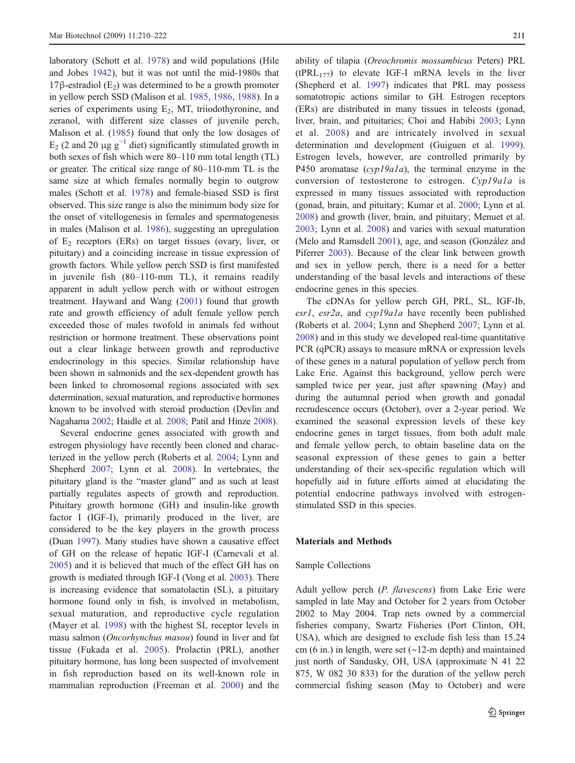laboratory (Schott et al. [1978](#page-11-0)) and wild populations (Hile and Jobes [1942\)](#page-11-0), but it was not until the mid-1980s that 17β-estradiol  $(E_2)$  was determined to be a growth promoter in yellow perch SSD (Malison et al. [1985,](#page-11-0) [1986,](#page-11-0) [1988\)](#page-11-0). In a series of experiments using  $E_2$ , MT, triiodothyronine, and zeranol, with different size classes of juvenile perch, Malison et al. [\(1985](#page-11-0)) found that only the low dosages of E<sub>2</sub> (2 and 20 µg g<sup>-1</sup> diet) significantly stimulated growth in both sexes of fish which were 80–110 mm total length (TL) or greater. The critical size range of 80–110-mm TL is the same size at which females normally begin to outgrow males (Schott et al. [1978](#page-11-0)) and female-biased SSD is first observed. This size range is also the minimum body size for the onset of vitellogenesis in females and spermatogenesis in males (Malison et al. [1986](#page-11-0)), suggesting an upregulation of  $E_2$  receptors (ERs) on target tissues (ovary, liver, or pituitary) and a coinciding increase in tissue expression of growth factors. While yellow perch SSD is first manifested in juvenile fish (80–110-mm TL), it remains readily apparent in adult yellow perch with or without estrogen treatment. Hayward and Wang [\(2001\)](#page-11-0) found that growth rate and growth efficiency of adult female yellow perch exceeded those of males twofold in animals fed without restriction or hormone treatment. These observations point out a clear linkage between growth and reproductive endocrinology in this species. Similar relationship have been shown in salmonids and the sex-dependent growth has been linked to chromosomal regions associated with sex determination, sexual maturation, and reproductive hormones known to be involved with steroid production (Devlin and Nagahama [2002;](#page-10-0) Haidle et al. [2008](#page-11-0); Patil and Hinze [2008](#page-11-0)).

Several endocrine genes associated with growth and estrogen physiology have recently been cloned and characterized in the yellow perch (Roberts et al. [2004;](#page-11-0) Lynn and Shepherd [2007;](#page-11-0) Lynn et al. [2008](#page-11-0)). In vertebrates, the pituitary gland is the "master gland" and as such at least partially regulates aspects of growth and reproduction. Pituitary growth hormone (GH) and insulin-like growth factor I (IGF-I), primarily produced in the liver, are considered to be the key players in the growth process (Duan [1997](#page-10-0)). Many studies have shown a causative effect of GH on the release of hepatic IGF-I (Carnevali et al. [2005](#page-10-0)) and it is believed that much of the effect GH has on growth is mediated through IGF-I (Vong et al. [2003\)](#page-12-0). There is increasing evidence that somatolactin (SL), a pituitary hormone found only in fish, is involved in metabolism, sexual maturation, and reproductive cycle regulation (Mayer et al. [1998\)](#page-11-0) with the highest SL receptor levels in masu salmon (Oncorhynchus masou) found in liver and fat tissue (Fukada et al. [2005\)](#page-11-0). Prolactin (PRL), another pituitary hormone, has long been suspected of involvement in fish reproduction based on its well-known role in mammalian reproduction (Freeman et al. [2000\)](#page-11-0) and the ability of tilapia (Oreochromis mossambicus Peters) PRL  $(tPRL_{177})$  to elevate IGF-I mRNA levels in the liver (Shepherd et al. [1997](#page-12-0)) indicates that PRL may possess somatotropic actions similar to GH. Estrogen receptors (ERs) are distributed in many tissues in teleosts (gonad, liver, brain, and pituitaries; Choi and Habibi [2003;](#page-10-0) Lynn et al. [2008](#page-11-0)) and are intricately involved in sexual determination and development (Guiguen et al. [1999\)](#page-11-0). Estrogen levels, however, are controlled primarily by P450 aromatase (cyp19a1a), the terminal enzyme in the conversion of testosterone to estrogen. Cyp19a1a is expressed in many tissues associated with reproduction (gonad, brain, and pituitary; Kumar et al. [2000](#page-11-0); Lynn et al. [2008](#page-11-0)) and growth (liver, brain, and pituitary; Menuet et al. [2003](#page-11-0); Lynn et al. [2008\)](#page-11-0) and varies with sexual maturation (Melo and Ramsdell [2001](#page-11-0)), age, and season (González and Piferrer [2003](#page-11-0)). Because of the clear link between growth and sex in yellow perch, there is a need for a better understanding of the basal levels and interactions of these endocrine genes in this species.

The cDNAs for yellow perch GH, PRL, SL, IGF-Ib, esr1, esr2a, and cyp19a1a have recently been published (Roberts et al. [2004;](#page-11-0) Lynn and Shepherd [2007;](#page-11-0) Lynn et al. [2008](#page-11-0)) and in this study we developed real-time quantitative PCR (qPCR) assays to measure mRNA or expression levels of these genes in a natural population of yellow perch from Lake Erie. Against this background, yellow perch were sampled twice per year, just after spawning (May) and during the autumnal period when growth and gonadal recrudescence occurs (October), over a 2-year period. We examined the seasonal expression levels of these key endocrine genes in target tissues, from both adult male and female yellow perch, to obtain baseline data on the seasonal expression of these genes to gain a better understanding of their sex-specific regulation which will hopefully aid in future efforts aimed at elucidating the potential endocrine pathways involved with estrogenstimulated SSD in this species.

## Materials and Methods

## Sample Collections

Adult yellow perch (P. flavescens) from Lake Erie were sampled in late May and October for 2 years from October 2002 to May 2004. Trap nets owned by a commercial fisheries company, Swartz Fisheries (Port Clinton, OH, USA), which are designed to exclude fish less than 15.24 cm (6 in.) in length, were set (∼12-m depth) and maintained just north of Sandusky, OH, USA (approximate N 41 22 875, W 082 30 833) for the duration of the yellow perch commercial fishing season (May to October) and were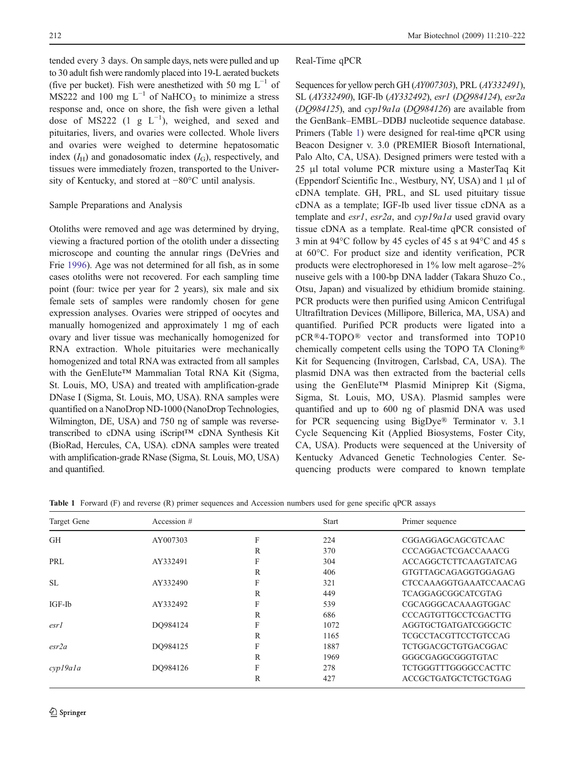tended every 3 days. On sample days, nets were pulled and up to 30 adult fish were randomly placed into 19-L aerated buckets (five per bucket). Fish were anesthetized with 50 mg  $L^{-1}$  of MS222 and 100 mg  $L^{-1}$  of NaHCO<sub>3</sub> to minimize a stress response and, once on shore, the fish were given a lethal dose of MS222 (1  $g L^{-1}$ ), weighed, and sexed and pituitaries, livers, and ovaries were collected. Whole livers and ovaries were weighed to determine hepatosomatic index  $(I_H)$  and gonadosomatic index  $(I_G)$ , respectively, and tissues were immediately frozen, transported to the University of Kentucky, and stored at −80°C until analysis.

## Sample Preparations and Analysis

Otoliths were removed and age was determined by drying, viewing a fractured portion of the otolith under a dissecting microscope and counting the annular rings (DeVries and Frie [1996\)](#page-10-0). Age was not determined for all fish, as in some cases otoliths were not recovered. For each sampling time point (four: twice per year for 2 years), six male and six female sets of samples were randomly chosen for gene expression analyses. Ovaries were stripped of oocytes and manually homogenized and approximately 1 mg of each ovary and liver tissue was mechanically homogenized for RNA extraction. Whole pituitaries were mechanically homogenized and total RNA was extracted from all samples with the GenElute<sup>™</sup> Mammalian Total RNA Kit (Sigma, St. Louis, MO, USA) and treated with amplification-grade DNase I (Sigma, St. Louis, MO, USA). RNA samples were quantified on a NanoDrop ND-1000 (NanoDrop Technologies, Wilmington, DE, USA) and 750 ng of sample was reversetranscribed to cDNA using iScript™ cDNA Synthesis Kit (BioRad, Hercules, CA, USA). cDNA samples were treated with amplification-grade RNase (Sigma, St. Louis, MO, USA) and quantified.

## Real-Time qPCR

Sequences for yellow perch GH (AY007303), PRL (AY332491), SL (AY332490), IGF-Ib (AY332492), esr1 (DQ984124), esr2a (DQ984125), and cyp19a1a (DQ984126) are available from the GenBank–EMBL–DDBJ nucleotide sequence database. Primers (Table 1) were designed for real-time qPCR using Beacon Designer v. 3.0 (PREMIER Biosoft International, Palo Alto, CA, USA). Designed primers were tested with a 25 μl total volume PCR mixture using a MasterTaq Kit (Eppendorf Scientific Inc., Westbury, NY, USA) and 1 μl of cDNA template. GH, PRL, and SL used pituitary tissue cDNA as a template; IGF-Ib used liver tissue cDNA as a template and esr1, esr2a, and cyp19a1a used gravid ovary tissue cDNA as a template. Real-time qPCR consisted of 3 min at 94°C follow by 45 cycles of 45 s at 94°C and 45 s at 60°C. For product size and identity verification, PCR products were electrophoresed in 1% low melt agarose–2% nuseive gels with a 100-bp DNA ladder (Takara Shuzo Co., Otsu, Japan) and visualized by ethidium bromide staining. PCR products were then purified using Amicon Centrifugal Ultrafiltration Devices (Millipore, Billerica, MA, USA) and quantified. Purified PCR products were ligated into a pCR®4-TOPO® vector and transformed into TOP10 chemically competent cells using the TOPO TA Cloning® Kit for Sequencing (Invitrogen, Carlsbad, CA, USA). The plasmid DNA was then extracted from the bacterial cells using the GenElute™ Plasmid Miniprep Kit (Sigma, Sigma, St. Louis, MO, USA). Plasmid samples were quantified and up to 600 ng of plasmid DNA was used for PCR sequencing using BigDye® Terminator v. 3.1 Cycle Sequencing Kit (Applied Biosystems, Foster City, CA, USA). Products were sequenced at the University of Kentucky Advanced Genetic Technologies Center. Sequencing products were compared to known template

Table 1 Forward (F) and reverse (R) primer sequences and Accession numbers used for gene specific qPCR assays

| Target Gene                   | Accession # |   | <b>Start</b> | Primer sequence              |  |  |  |
|-------------------------------|-------------|---|--------------|------------------------------|--|--|--|
| <b>GH</b>                     | AY007303    | F | 224          | CGGAGGAGCAGCGTCAAC           |  |  |  |
|                               |             | R | 370          | <b>CCCAGGACTCGACCAAACG</b>   |  |  |  |
| PRL                           | AY332491    | F | 304          | <b>ACCAGGCTCTTCAAGTATCAG</b> |  |  |  |
|                               |             | R | 406          | GTGTTAGCAGAGGTGGAGAG         |  |  |  |
| SL.                           | AY332490    | F | 321          | CTCCAAAGGTGAAATCCAACAG       |  |  |  |
|                               |             | R | 449          | <b>TCAGGAGCGGCATCGTAG</b>    |  |  |  |
| IGF-Ib                        | AY332492    | F | 539          | CGCAGGGCACAAAGTGGAC          |  |  |  |
|                               |             | R | 686          | CCCAGTGTTGCCTCGACTTG         |  |  |  |
| esr1                          | DO984124    | F | 1072         | AGGTGCTGATGATCGGGCTC         |  |  |  |
|                               |             | R | 1165         | <b>TCGCCTACGTTCCTGTCCAG</b>  |  |  |  |
| $\ensuremath{\textit{esr2a}}$ | DO984125    | F | 1887         | <b>TCTGGACGCTGTGACGGAC</b>   |  |  |  |
|                               |             | R | 1969         | GGGCGAGGCGGGTGTAC            |  |  |  |
| cvp19a1a                      | DO984126    | F | 278          | <b>TCTGGGTTTGGGGCCACTTC</b>  |  |  |  |
|                               |             | R | 427          | ACCGCTGATGCTCTGCTGAG         |  |  |  |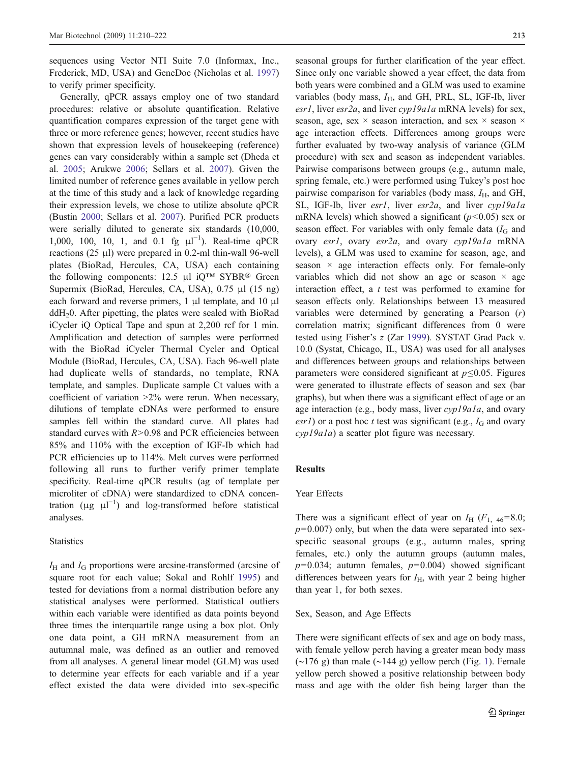sequences using Vector NTI Suite 7.0 (Informax, Inc., Frederick, MD, USA) and GeneDoc (Nicholas et al. [1997\)](#page-11-0) to verify primer specificity.

Generally, qPCR assays employ one of two standard procedures: relative or absolute quantification. Relative quantification compares expression of the target gene with three or more reference genes; however, recent studies have shown that expression levels of housekeeping (reference) genes can vary considerably within a sample set (Dheda et al. [2005;](#page-10-0) Arukwe [2006](#page-10-0); Sellars et al. [2007\)](#page-12-0). Given the limited number of reference genes available in yellow perch at the time of this study and a lack of knowledge regarding their expression levels, we chose to utilize absolute qPCR (Bustin [2000](#page-10-0); Sellars et al. [2007\)](#page-12-0). Purified PCR products were serially diluted to generate six standards (10,000, 1,000, 100, 10, 1, and 0.1 fg  $\mu l^{-1}$ ). Real-time qPCR reactions (25 μl) were prepared in 0.2-ml thin-wall 96-well plates (BioRad, Hercules, CA, USA) each containing the following components: 12.5 μl iQ<sup>TM</sup> SYBR<sup>®</sup> Green Supermix (BioRad, Hercules, CA, USA), 0.75 μl (15 ng) each forward and reverse primers, 1 μl template, and 10 μl  $ddH<sub>2</sub>0$ . After pipetting, the plates were sealed with BioRad iCycler iQ Optical Tape and spun at 2,200 rcf for 1 min. Amplification and detection of samples were performed with the BioRad iCycler Thermal Cycler and Optical Module (BioRad, Hercules, CA, USA). Each 96-well plate had duplicate wells of standards, no template, RNA template, and samples. Duplicate sample Ct values with a coefficient of variation >2% were rerun. When necessary, dilutions of template cDNAs were performed to ensure samples fell within the standard curve. All plates had standard curves with  $R > 0.98$  and PCR efficiencies between 85% and 110% with the exception of IGF-Ib which had PCR efficiencies up to 114%. Melt curves were performed following all runs to further verify primer template specificity. Real-time qPCR results (ag of template per microliter of cDNA) were standardized to cDNA concentration ( $\mu$ g  $\mu$ l<sup>-1</sup>) and log-transformed before statistical analyses.

# **Statistics**

 $I_{\rm H}$  and  $I_{\rm G}$  proportions were arcsine-transformed (arcsine of square root for each value; Sokal and Rohlf [1995](#page-12-0)) and tested for deviations from a normal distribution before any statistical analyses were performed. Statistical outliers within each variable were identified as data points beyond three times the interquartile range using a box plot. Only one data point, a GH mRNA measurement from an autumnal male, was defined as an outlier and removed from all analyses. A general linear model (GLM) was used to determine year effects for each variable and if a year effect existed the data were divided into sex-specific

seasonal groups for further clarification of the year effect. Since only one variable showed a year effect, the data from both years were combined and a GLM was used to examine variables (body mass,  $I_H$ , and GH, PRL, SL, IGF-Ib, liver esr1, liver esr2a, and liver cyp19a1a mRNA levels) for sex, season, age, sex  $\times$  season interaction, and sex  $\times$  season  $\times$ age interaction effects. Differences among groups were further evaluated by two-way analysis of variance (GLM procedure) with sex and season as independent variables. Pairwise comparisons between groups (e.g., autumn male, spring female, etc.) were performed using Tukey's post hoc pairwise comparison for variables (body mass,  $I_{\rm H}$ , and GH, SL, IGF-Ib, liver esr1, liver esr2a, and liver cyp19a1a mRNA levels) which showed a significant  $(p<0.05)$  sex or season effect. For variables with only female data  $(I<sub>G</sub>$  and ovary esr1, ovary esr2a, and ovary cyp19a1a mRNA levels), a GLM was used to examine for season, age, and season  $\times$  age interaction effects only. For female-only variables which did not show an age or season  $\times$  age interaction effect, a t test was performed to examine for season effects only. Relationships between 13 measured variables were determined by generating a Pearson (r) correlation matrix; significant differences from 0 were tested using Fisher's z (Zar [1999\)](#page-12-0). SYSTAT Grad Pack v. 10.0 (Systat, Chicago, IL, USA) was used for all analyses and differences between groups and relationships between parameters were considered significant at  $p \le 0.05$ . Figures were generated to illustrate effects of season and sex (bar graphs), but when there was a significant effect of age or an age interaction (e.g., body mass, liver cyp19a1a, and ovary esr1) or a post hoc t test was significant (e.g.,  $I_G$  and ovary cyp19a1a) a scatter plot figure was necessary.

# Results

# Year Effects

There was a significant effect of year on  $I_{\rm H}$  ( $F_{1,46}=8.0$ ;  $p=0.007$ ) only, but when the data were separated into sexspecific seasonal groups (e.g., autumn males, spring females, etc.) only the autumn groups (autumn males,  $p=0.034$ ; autumn females,  $p=0.004$ ) showed significant differences between years for  $I_H$ , with year 2 being higher than year 1, for both sexes.

## Sex, Season, and Age Effects

There were significant effects of sex and age on body mass, with female yellow perch having a greater mean body mass (∼176 g) than male (∼144 g) yellow perch (Fig. [1\)](#page-4-0). Female yellow perch showed a positive relationship between body mass and age with the older fish being larger than the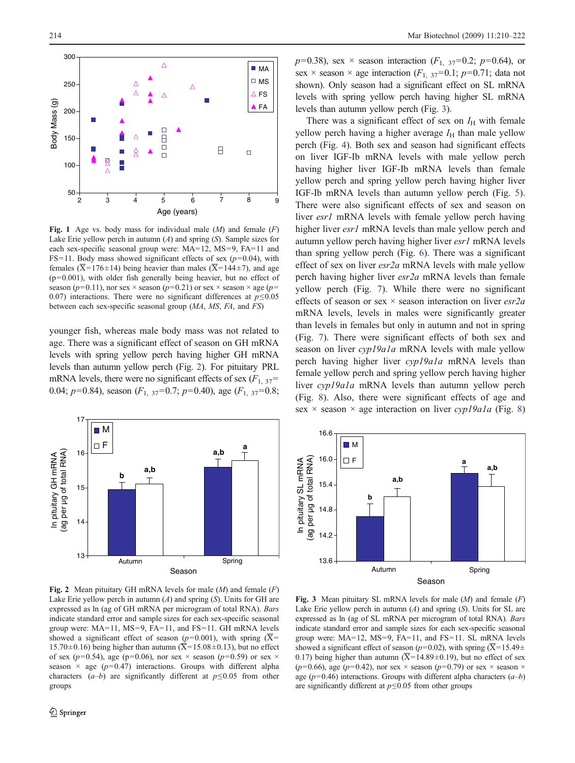<span id="page-4-0"></span>

Fig. 1 Age vs. body mass for individual male  $(M)$  and female  $(F)$ Lake Erie vellow perch in autumn  $(A)$  and spring  $(S)$ . Sample sizes for each sex-specific seasonal group were: MA=12, MS=9, FA=11 and FS=11. Body mass showed significant effects of sex  $(p=0.04)$ , with females ( $\overline{X}$ =176±14) being heavier than males ( $\overline{X}$ =144±7), and age (p=0.001), with older fish generally being heavier, but no effect of season ( $p=0.11$ ), nor sex × season ( $p=0.21$ ) or sex × season × age ( $p=$ 0.07) interactions. There were no significant differences at  $p \le 0.05$ between each sex-specific seasonal group (MA, MS, FA, and FS)

younger fish, whereas male body mass was not related to age. There was a significant effect of season on GH mRNA levels with spring yellow perch having higher GH mRNA levels than autumn yellow perch (Fig. 2). For pituitary PRL mRNA levels, there were no significant effects of sex  $(F_1, 37)$ = 0.04;  $p=0.84$ ), season  $(F_{1, 37}=0.7; p=0.40)$ , age  $(F_{1, 37}=0.8;$ 



Fig. 2 Mean pituitary GH mRNA levels for male  $(M)$  and female  $(F)$ Lake Erie yellow perch in autumn  $(A)$  and spring  $(S)$ . Units for GH are expressed as ln (ag of GH mRNA per microgram of total RNA). Bars indicate standard error and sample sizes for each sex-specific seasonal group were: MA=11, MS=9, FA=11, and FS=11. GH mRNA levels showed a significant effect of season ( $p=0.001$ ), with spring ( $\overline{X}$ = 15.70 $\pm$ 0.16) being higher than autumn ( $\overline{X}$ =15.08 $\pm$ 0.13), but no effect of sex ( $p=0.54$ ), age ( $p=0.06$ ), nor sex  $\times$  season ( $p=0.59$ ) or sex  $\times$ season  $\times$  age ( $p=0.47$ ) interactions. Groups with different alpha characters  $(a-b)$  are significantly different at  $p \le 0.05$  from other groups

 $p=0.38$ ), sex  $\times$  season interaction ( $F_{1, 37}=0.2$ ;  $p=0.64$ ), or sex  $\times$  season  $\times$  age interaction ( $F_{1, 37}$ =0.1; p=0.71; data not shown). Only season had a significant effect on SL mRNA levels with spring yellow perch having higher SL mRNA levels than autumn yellow perch (Fig. 3).

There was a significant effect of sex on  $I<sub>H</sub>$  with female yellow perch having a higher average  $I_H$  than male yellow perch (Fig. [4\)](#page-5-0). Both sex and season had significant effects on liver IGF-Ib mRNA levels with male yellow perch having higher liver IGF-Ib mRNA levels than female yellow perch and spring yellow perch having higher liver IGF-Ib mRNA levels than autumn yellow perch (Fig. [5\)](#page-5-0). There were also significant effects of sex and season on liver *esr1* mRNA levels with female yellow perch having higher liver *esr1* mRNA levels than male yellow perch and autumn yellow perch having higher liver *esr1* mRNA levels than spring yellow perch (Fig. [6](#page-5-0)). There was a significant effect of sex on liver esr2a mRNA levels with male yellow perch having higher liver esr2a mRNA levels than female yellow perch (Fig. [7\)](#page-5-0). While there were no significant effects of season or sex  $\times$  season interaction on liver esr2a mRNA levels, levels in males were significantly greater than levels in females but only in autumn and not in spring (Fig. [7](#page-5-0)). There were significant effects of both sex and season on liver cyp19a1a mRNA levels with male yellow perch having higher liver cyp19a1a mRNA levels than female yellow perch and spring yellow perch having higher liver cyp19a1a mRNA levels than autumn yellow perch (Fig. [8](#page-6-0)). Also, there were significant effects of age and sex  $\times$  season  $\times$  age interaction on liver cyp19a1a (Fig. [8](#page-6-0))



Fig. 3 Mean pituitary SL mRNA levels for male  $(M)$  and female  $(F)$ Lake Erie yellow perch in autumn  $(A)$  and spring  $(S)$ . Units for SL are expressed as ln (ag of SL mRNA per microgram of total RNA). Bars indicate standard error and sample sizes for each sex-specific seasonal group were: MA=12, MS=9, FA=11, and FS=11. SL mRNA levels showed a significant effect of season ( $p=0.02$ ), with spring (X=15.49 $\pm$ 0.17) being higher than autumn ( $\overline{X}$ =14.89±0.19), but no effect of sex  $(p=0.66)$ , age  $(p=0.42)$ , nor sex  $\times$  season  $(p=0.79)$  or sex  $\times$  season  $\times$ age ( $p=0.46$ ) interactions. Groups with different alpha characters ( $a-b$ ) are significantly different at  $p \le 0.05$  from other groups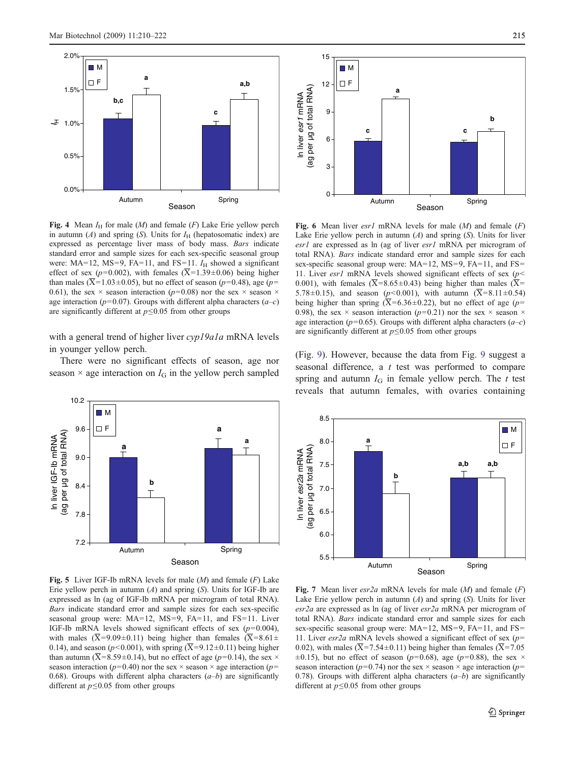<span id="page-5-0"></span>

Fig. 4 Mean  $I_H$  for male (*M*) and female (*F*) Lake Erie yellow perch in autumn  $(A)$  and spring  $(S)$ . Units for  $I_H$  (hepatosomatic index) are expressed as percentage liver mass of body mass. Bars indicate standard error and sample sizes for each sex-specific seasonal group were: MA=12, MS=9, FA=11, and FS=11.  $I_H$  showed a significant effect of sex ( $p=0.002$ ), with females ( $\overline{X}=1.39\pm0.06$ ) being higher than males  $(\overline{X}=1.03\pm0.05)$ , but no effect of season (p=0.48), age (p= 0.61), the sex  $\times$  season interaction (p=0.08) nor the sex  $\times$  season  $\times$ age interaction ( $p=0.07$ ). Groups with different alpha characters ( $a-c$ ) are significantly different at  $p \le 0.05$  from other groups

with a general trend of higher liver cyp19a1a mRNA levels in younger yellow perch.

There were no significant effects of season, age nor season  $\times$  age interaction on  $I_G$  in the yellow perch sampled



Fig. 5 Liver IGF-Ib mRNA levels for male  $(M)$  and female  $(F)$  Lake Erie yellow perch in autumn  $(A)$  and spring  $(S)$ . Units for IGF-Ib are expressed as ln (ag of IGF-Ib mRNA per microgram of total RNA). Bars indicate standard error and sample sizes for each sex-specific seasonal group were: MA=12, MS=9, FA=11, and FS=11. Liver IGF-Ib mRNA levels showed significant effects of sex  $(p=0.004)$ , with males  $(\overline{X}=9.09\pm0.11)$  being higher than females  $(\overline{X}=8.61\pm0.11)$ 0.14), and season ( $p$ <0.001), with spring ( $\overline{X}$ =9.12±0.11) being higher than autumn ( $\overline{X}$ =8.59±0.14), but no effect of age (p=0.14), the sex  $\times$ season interaction ( $p=0.40$ ) nor the sex  $\times$  season  $\times$  age interaction ( $p=$ 0.68). Groups with different alpha characters  $(a-b)$  are significantly different at  $p \leq 0.05$  from other groups



Fig. 6 Mean liver  $esrl$  mRNA levels for male  $(M)$  and female  $(F)$ Lake Erie yellow perch in autumn  $(A)$  and spring  $(S)$ . Units for liver esr1 are expressed as ln (ag of liver esr1 mRNA per microgram of total RNA). Bars indicate standard error and sample sizes for each sex-specific seasonal group were: MA=12, MS=9, FA=11, and FS= 11. Liver esrl mRNA levels showed significant effects of sex  $(p<$ 0.001), with females ( $\overline{X}$ =8.65±0.43) being higher than males ( $\overline{X}$ = 5.78 $\pm$ 0.15), and season (p<0.001), with autumn ( $\overline{X}$ =8.11 $\pm$ 0.54) being higher than spring  $(\overline{X}=6.36\pm0.22)$ , but no effect of age (p= 0.98), the sex  $\times$  season interaction (p=0.21) nor the sex  $\times$  season  $\times$ age interaction ( $p=0.65$ ). Groups with different alpha characters ( $a-c$ ) are significantly different at  $p \le 0.05$  from other groups

(Fig. [9\)](#page-6-0). However, because the data from Fig. [9](#page-6-0) suggest a seasonal difference, a t test was performed to compare spring and autumn  $I_G$  in female yellow perch. The t test reveals that autumn females, with ovaries containing



Fig. 7 Mean liver  $\exp 2a$  mRNA levels for male  $(M)$  and female  $(F)$ Lake Erie yellow perch in autumn  $(A)$  and spring  $(S)$ . Units for liver esr2a are expressed as ln (ag of liver esr2a mRNA per microgram of total RNA). Bars indicate standard error and sample sizes for each sex-specific seasonal group were: MA=12, MS=9, FA=11, and FS= 11. Liver  $\exp 2a$  mRNA levels showed a significant effect of sex ( $p=$ 0.02), with males  $(X=7.54\pm0.11)$  being higher than females  $(X=7.05)$  $\pm 0.15$ ), but no effect of season (p=0.68), age (p=0.88), the sex  $\times$ season interaction ( $p=0.74$ ) nor the sex × season × age interaction ( $p=$ 0.78). Groups with different alpha characters  $(a-b)$  are significantly different at  $p \leq 0.05$  from other groups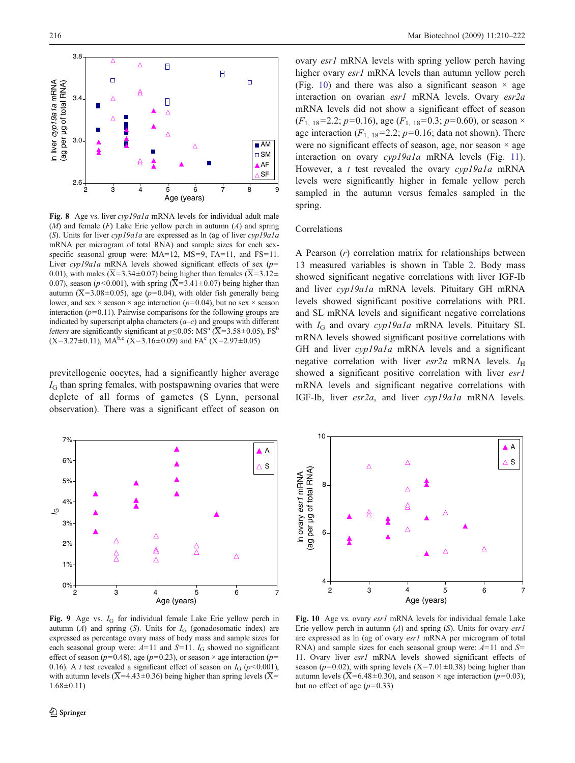

Fig. 8 Age vs. liver cyp19a1a mRNA levels for individual adult male  $(M)$  and female  $(F)$  Lake Erie yellow perch in autumn  $(A)$  and spring (S). Units for liver  $cyp19a1a$  are expressed as ln (ag of liver  $cyp19a1a$ mRNA per microgram of total RNA) and sample sizes for each sexspecific seasonal group were: MA=12, MS=9, FA=11, and FS=11. Liver cyp19a1a mRNA levels showed significant effects of sex  $(p=$ 0.01), with males ( $\overline{X}$ =3.34±0.07) being higher than females ( $\overline{X}$ =3.12± 0.07), season ( $p$ <0.001), with spring ( $\overline{X}$ =3.41±0.07) being higher than autumn ( $\overline{X}$ =3.08±0.05), age (p=0.04), with older fish generally being lower, and sex  $\times$  season  $\times$  age interaction ( $p=0.04$ ), but no sex  $\times$  season interaction  $(p=0.11)$ . Pairwise comparisons for the following groups are indicated by superscript alpha characters  $(a-c)$  and groups with different *letters* are significantly significant at  $p \le 0.05$ : MS<sup>a</sup> ( $\overline{X} = 3.58 \pm 0.05$ ), FS<sup>b</sup>  $(\overline{X}=3.27\pm0.11)$ , MA<sup>b,c</sup> ( $\overline{X}=3.16\pm0.09$ ) and FA<sup>c</sup> ( $\overline{X}=2.97\pm0.05$ )

previtellogenic oocytes, had a significantly higher average  $I<sub>G</sub>$  than spring females, with postspawning ovaries that were deplete of all forms of gametes (S Lynn, personal observation). There was a significant effect of season on

<span id="page-6-0"></span>

ovary esr1 mRNA levels with spring yellow perch having higher ovary *esr1* mRNA levels than autumn yellow perch (Fig. 10) and there was also a significant season  $\times$  age interaction on ovarian esr1 mRNA levels. Ovary esr2a mRNA levels did not show a significant effect of season  $(F_{1, 18}=2.2; p=0.16)$ , age  $(F_{1, 18}=0.3; p=0.60)$ , or season × age interaction  $(F_{1, 18} = 2.2; p=0.16;$  data not shown). There were no significant effects of season, age, nor season  $\times$  age interaction on ovary *cyp19a1a* mRNA levels (Fig. [11\)](#page-7-0). However, a t test revealed the ovary cyp19a1a mRNA levels were significantly higher in female yellow perch sampled in the autumn versus females sampled in the spring.

## Correlations

A Pearson  $(r)$  correlation matrix for relationships between 13 measured variables is shown in Table [2.](#page-7-0) Body mass showed significant negative correlations with liver IGF-Ib and liver cyp19a1a mRNA levels. Pituitary GH mRNA levels showed significant positive correlations with PRL and SL mRNA levels and significant negative correlations with  $I_G$  and ovary cyp19a1a mRNA levels. Pituitary SL mRNA levels showed significant positive correlations with GH and liver cyp19a1a mRNA levels and a significant negative correlation with liver  $esr2a$  mRNA levels.  $I<sub>H</sub>$ showed a significant positive correlation with liver esr1 mRNA levels and significant negative correlations with IGF-Ib, liver esr2a, and liver cyp19a1a mRNA levels.



Fig. 9 Age vs.  $I_G$  for individual female Lake Erie yellow perch in autumn (A) and spring (S). Units for  $I_G$  (gonadosomatic index) are expressed as percentage ovary mass of body mass and sample sizes for each seasonal group were:  $A=11$  and  $S=11$ .  $I_G$  showed no significant effect of season ( $p=0.48$ ), age ( $p=0.23$ ), or season  $\times$  age interaction ( $p=$ 0.16). A t test revealed a significant effect of season on  $I_G$  ( $p$ <0.001), with autumn levels ( $\overline{X}$ =4.43±0.36) being higher than spring levels ( $\overline{X}$ = 1.68±0.11)



Fig. 10 Age vs. ovary *esr1* mRNA levels for individual female Lake Erie yellow perch in autumn  $(A)$  and spring  $(S)$ . Units for ovary *esr1* are expressed as ln (ag of ovary esr1 mRNA per microgram of total RNA) and sample sizes for each seasonal group were:  $A=11$  and  $S=$ 11. Ovary liver esr1 mRNA levels showed significant effects of season ( $p=0.02$ ), with spring levels ( $\overline{X}$ =7.01±0.38) being higher than autumn levels ( $\overline{X}$ =6.48±0.30), and season × age interaction (p=0.03), but no effect of age  $(p=0.33)$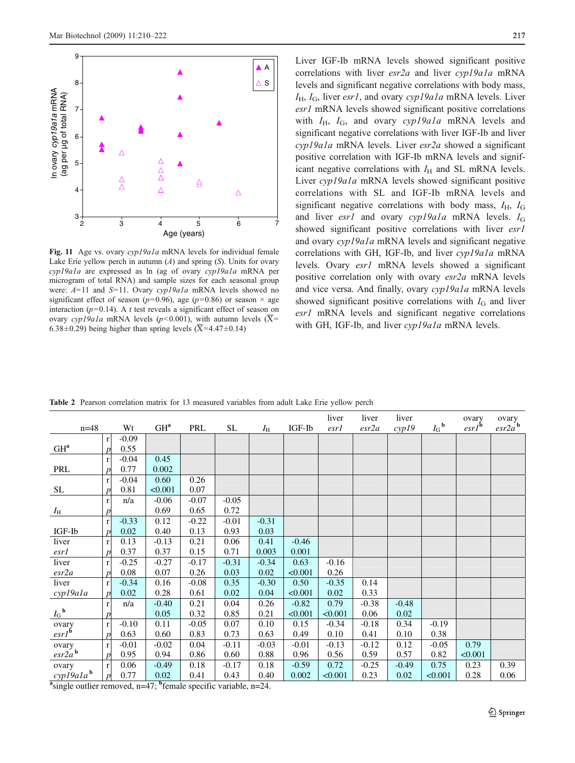<span id="page-7-0"></span>

Fig. 11 Age vs. ovary cyp19a1a mRNA levels for individual female Lake Erie yellow perch in autumn  $(A)$  and spring  $(S)$ . Units for ovary cyp19a1a are expressed as ln (ag of ovary cyp19a1a mRNA per microgram of total RNA) and sample sizes for each seasonal group were:  $A=11$  and  $S=11$ . Ovary cyp19a1a mRNA levels showed no significant effect of season ( $p=0.96$ ), age ( $p=0.86$ ) or season  $\times$  age interaction ( $p=0.14$ ). A t test reveals a significant effect of season on ovary cyp19a1a mRNA levels ( $p$ <0.001), with autumn levels ( $\overline{X}$ = 6.38 $\pm$ 0.29) being higher than spring levels ( $\overline{X}$ =4.47 $\pm$ 0.14)

Liver IGF-Ib mRNA levels showed significant positive correlations with liver esr2a and liver cyp19a1a mRNA levels and significant negative correlations with body mass,  $I_{\rm H}$ ,  $I_{\rm G}$ , liver esrl, and ovary cyp19a1a mRNA levels. Liver esr1 mRNA levels showed significant positive correlations with  $I_H$ ,  $I_G$ , and ovary cyp19a1a mRNA levels and significant negative correlations with liver IGF-Ib and liver cyp19a1a mRNA levels. Liver esr2a showed a significant positive correlation with IGF-Ib mRNA levels and significant negative correlations with  $I_H$  and SL mRNA levels. Liver cyp19a1a mRNA levels showed significant positive correlations with SL and IGF-Ib mRNA levels and significant negative correlations with body mass,  $I_H$ ,  $I_G$ and liver *esr1* and ovary *cyp19a1a* mRNA levels.  $I_G$ showed significant positive correlations with liver *esr1* and ovary cyp19a1a mRNA levels and significant negative correlations with GH, IGF-Ib, and liver cyp19a1a mRNA levels. Ovary esr1 mRNA levels showed a significant positive correlation only with ovary esr2a mRNA levels and vice versa. And finally, ovary cyp19a1a mRNA levels showed significant positive correlations with  $I_G$  and liver esr1 mRNA levels and significant negative correlations with GH, IGF-Ib, and liver cyp19a1a mRNA levels.

|                                                                                |                  |         |                 |         |         |             |         | liver   | liver   | liver   |                          | ovary   | ovary<br>$\frac{e^{ct}}{e^{ct}}$ |
|--------------------------------------------------------------------------------|------------------|---------|-----------------|---------|---------|-------------|---------|---------|---------|---------|--------------------------|---------|----------------------------------|
| $n = 48$                                                                       |                  | Wt      | GH <sup>a</sup> | PRL     | SL      | $I_{\rm H}$ | IGF-Ib  | esr1    | esr2a   | cyp19   | $I_{\rm G}$ <sup>b</sup> | $erl^b$ |                                  |
|                                                                                | $\mathbf{r}$     | $-0.09$ |                 |         |         |             |         |         |         |         |                          |         |                                  |
| GH <sup>a</sup>                                                                | $\boldsymbol{p}$ | 0.55    |                 |         |         |             |         |         |         |         |                          |         |                                  |
|                                                                                | r                | $-0.04$ | 0.45            |         |         |             |         |         |         |         |                          |         |                                  |
| PRL                                                                            | p                | 0.77    | 0.002           |         |         |             |         |         |         |         |                          |         |                                  |
|                                                                                | $\mathbf{r}$     | $-0.04$ | 0.60            | 0.26    |         |             |         |         |         |         |                          |         |                                  |
| <b>SL</b>                                                                      | $\boldsymbol{p}$ | 0.81    | < 0.001         | 0.07    |         |             |         |         |         |         |                          |         |                                  |
|                                                                                | r                | n/a     | $-0.06$         | $-0.07$ | $-0.05$ |             |         |         |         |         |                          |         |                                  |
| $I_{\rm H}$                                                                    | p                |         | 0.69            | 0.65    | 0.72    |             |         |         |         |         |                          |         |                                  |
|                                                                                | $\mathbf{r}$     | $-0.33$ | 0.12            | $-0.22$ | $-0.01$ | $-0.31$     |         |         |         |         |                          |         |                                  |
| IGF-Ib                                                                         | $\boldsymbol{p}$ | 0.02    | 0.40            | 0.13    | 0.93    | 0.03        |         |         |         |         |                          |         |                                  |
| liver                                                                          | $\mathbf{r}$     | 0.13    | $-0.13$         | 0.21    | 0.06    | 0.41        | $-0.46$ |         |         |         |                          |         |                                  |
| esrl                                                                           | $\boldsymbol{p}$ | 0.37    | 0.37            | 0.15    | 0.71    | 0.003       | 0.001   |         |         |         |                          |         |                                  |
| liver                                                                          | $\mathbf{r}$     | $-0.25$ | $-0.27$         | $-0.17$ | $-0.31$ | $-0.34$     | 0.63    | $-0.16$ |         |         |                          |         |                                  |
| esr2a                                                                          |                  | 0.08    | 0.07            | 0.26    | 0.03    | 0.02        | < 0.001 | 0.26    |         |         |                          |         |                                  |
| liver                                                                          | r                | $-0.34$ | 0.16            | $-0.08$ | 0.35    | $-0.30$     | 0.50    | $-0.35$ | 0.14    |         |                          |         |                                  |
| cyp19a1a                                                                       | $\boldsymbol{p}$ | 0.02    | 0.28            | 0.61    | 0.02    | 0.04        | < 0.001 | 0.02    | 0.33    |         |                          |         |                                  |
|                                                                                | r                | n/a     | $-0.40$         | 0.21    | 0.04    | 0.26        | $-0.82$ | 0.79    | $-0.38$ | $-0.48$ |                          |         |                                  |
| $I_{\mathrm{G}}$ <sub>b</sub>                                                  | $\boldsymbol{p}$ |         | 0.05            | 0.32    | 0.85    | 0.21        | < 0.001 | < 0.001 | 0.06    | 0.02    |                          |         |                                  |
| ovary                                                                          | $\mathbf{r}$     | $-0.10$ | 0.11            | $-0.05$ | 0.07    | 0.10        | 0.15    | $-0.34$ | $-0.18$ | 0.34    | $-0.19$                  |         |                                  |
| $est^{\dot{b}}$                                                                | $\boldsymbol{p}$ | 0.63    | 0.60            | 0.83    | 0.73    | 0.63        | 0.49    | 0.10    | 0.41    | 0.10    | 0.38                     |         |                                  |
| ovary                                                                          | $\mathbf{r}$     | $-0.01$ | $-0.02$         | 0.04    | $-0.11$ | $-0.03$     | $-0.01$ | $-0.13$ | $-0.12$ | 0.12    | $-0.05$                  | 0.79    |                                  |
| $\mathit{esr2a}^{\mathbf{b}}$                                                  | $\boldsymbol{p}$ | 0.95    | 0.94            | 0.86    | 0.60    | 0.88        | 0.96    | 0.56    | 0.59    | 0.57    | 0.82                     | < 0.001 |                                  |
| ovary                                                                          | $\mathbf{r}$     | 0.06    | $-0.49$         | 0.18    | $-0.17$ | 0.18        | $-0.59$ | 0.72    | $-0.25$ | $-0.49$ | 0.75                     | 0.23    | 0.39                             |
| $cypl9ala^b$                                                                   |                  | 0.77    | 0.02            | 0.41    | 0.43    | 0.40        | 0.002   | < 0.001 | 0.23    | 0.02    | < 0.001                  | 0.28    | 0.06                             |
| $a$ single outlier removed, n=47; <sup>b</sup> female specific variable, n=24. |                  |         |                 |         |         |             |         |         |         |         |                          |         |                                  |

Table 2 Pearson correlation matrix for 13 measured variables from adult Lake Erie yellow perch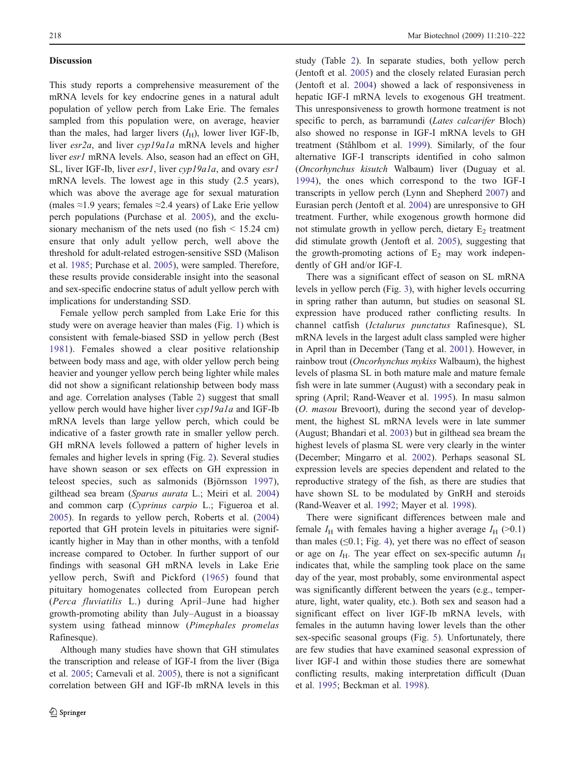## Discussion

This study reports a comprehensive measurement of the mRNA levels for key endocrine genes in a natural adult population of yellow perch from Lake Erie. The females sampled from this population were, on average, heavier than the males, had larger livers  $(I_H)$ , lower liver IGF-Ib, liver esr2a, and liver cyp19a1a mRNA levels and higher liver esr1 mRNA levels. Also, season had an effect on GH, SL, liver IGF-Ib, liver esr1, liver cyp19a1a, and ovary esr1 mRNA levels. The lowest age in this study (2.5 years), which was above the average age for sexual maturation (males  $\approx$ 1.9 years; females  $\approx$ 2.4 years) of Lake Erie yellow perch populations (Purchase et al. [2005](#page-11-0)), and the exclusionary mechanism of the nets used (no fish  $\leq 15.24$  cm) ensure that only adult yellow perch, well above the threshold for adult-related estrogen-sensitive SSD (Malison et al. [1985](#page-11-0); Purchase et al. [2005](#page-11-0)), were sampled. Therefore, these results provide considerable insight into the seasonal and sex-specific endocrine status of adult yellow perch with implications for understanding SSD.

Female yellow perch sampled from Lake Erie for this study were on average heavier than males (Fig. [1](#page-4-0)) which is consistent with female-biased SSD in yellow perch (Best [1981\)](#page-10-0). Females showed a clear positive relationship between body mass and age, with older yellow perch being heavier and younger yellow perch being lighter while males did not show a significant relationship between body mass and age. Correlation analyses (Table [2\)](#page-7-0) suggest that small yellow perch would have higher liver cyp19a1a and IGF-Ib mRNA levels than large yellow perch, which could be indicative of a faster growth rate in smaller yellow perch. GH mRNA levels followed a pattern of higher levels in females and higher levels in spring (Fig. [2\)](#page-4-0). Several studies have shown season or sex effects on GH expression in teleost species, such as salmonids (Björnsson [1997](#page-10-0)), gilthead sea bream (Sparus aurata L.; Meiri et al. [2004\)](#page-11-0) and common carp (Cyprinus carpio L.; Figueroa et al. [2005](#page-11-0)). In regards to yellow perch, Roberts et al. ([2004\)](#page-11-0) reported that GH protein levels in pituitaries were significantly higher in May than in other months, with a tenfold increase compared to October. In further support of our findings with seasonal GH mRNA levels in Lake Erie yellow perch, Swift and Pickford ([1965](#page-12-0)) found that pituitary homogenates collected from European perch (Perca fluviatilis L.) during April–June had higher growth-promoting ability than July–August in a bioassay system using fathead minnow (Pimephales promelas Rafinesque).

Although many studies have shown that GH stimulates the transcription and release of IGF-I from the liver (Biga et al. [2005;](#page-10-0) Carnevali et al. [2005](#page-10-0)), there is not a significant correlation between GH and IGF-Ib mRNA levels in this study (Table [2\)](#page-7-0). In separate studies, both yellow perch (Jentoft et al. [2005](#page-11-0)) and the closely related Eurasian perch (Jentoft et al. [2004\)](#page-11-0) showed a lack of responsiveness in hepatic IGF-I mRNA levels to exogenous GH treatment. This unresponsiveness to growth hormone treatment is not specific to perch, as barramundi (Lates calcarifer Bloch) also showed no response in IGF-I mRNA levels to GH treatment (Ståhlbom et al. [1999](#page-12-0)). Similarly, of the four alternative IGF-I transcripts identified in coho salmon (Oncorhynchus kisutch Walbaum) liver (Duguay et al. [1994\)](#page-11-0), the ones which correspond to the two IGF-I transcripts in yellow perch (Lynn and Shepherd [2007](#page-11-0)) and Eurasian perch (Jentoft et al. [2004](#page-11-0)) are unresponsive to GH treatment. Further, while exogenous growth hormone did not stimulate growth in yellow perch, dietary  $E_2$  treatment did stimulate growth (Jentoft et al. [2005](#page-11-0)), suggesting that the growth-promoting actions of  $E_2$  may work independently of GH and/or IGF-I.

There was a significant effect of season on SL mRNA levels in yellow perch (Fig. [3\)](#page-4-0), with higher levels occurring in spring rather than autumn, but studies on seasonal SL expression have produced rather conflicting results. In channel catfish (Ictalurus punctatus Rafinesque), SL mRNA levels in the largest adult class sampled were higher in April than in December (Tang et al. [2001\)](#page-12-0). However, in rainbow trout (Oncorhynchus mykiss Walbaum), the highest levels of plasma SL in both mature male and mature female fish were in late summer (August) with a secondary peak in spring (April; Rand-Weaver et al. [1995\)](#page-11-0). In masu salmon (O. masou Brevoort), during the second year of development, the highest SL mRNA levels were in late summer (August; Bhandari et al. [2003](#page-10-0)) but in gilthead sea bream the highest levels of plasma SL were very clearly in the winter (December; Mingarro et al. [2002\)](#page-11-0). Perhaps seasonal SL expression levels are species dependent and related to the reproductive strategy of the fish, as there are studies that have shown SL to be modulated by GnRH and steroids (Rand-Weaver et al. [1992](#page-11-0); Mayer et al. [1998](#page-11-0)).

There were significant differences between male and female  $I_{\rm H}$  with females having a higher average  $I_{\rm H}$  (>0.1) than males  $(\leq 0.1;$  Fig. [4](#page-5-0)), yet there was no effect of season or age on  $I_{\rm H}$ . The year effect on sex-specific autumn  $I_{\rm H}$ indicates that, while the sampling took place on the same day of the year, most probably, some environmental aspect was significantly different between the years (e.g., temperature, light, water quality, etc.). Both sex and season had a significant effect on liver IGF-Ib mRNA levels, with females in the autumn having lower levels than the other sex-specific seasonal groups (Fig. [5\)](#page-5-0). Unfortunately, there are few studies that have examined seasonal expression of liver IGF-I and within those studies there are somewhat conflicting results, making interpretation difficult (Duan et al. [1995](#page-10-0); Beckman et al. [1998](#page-10-0)).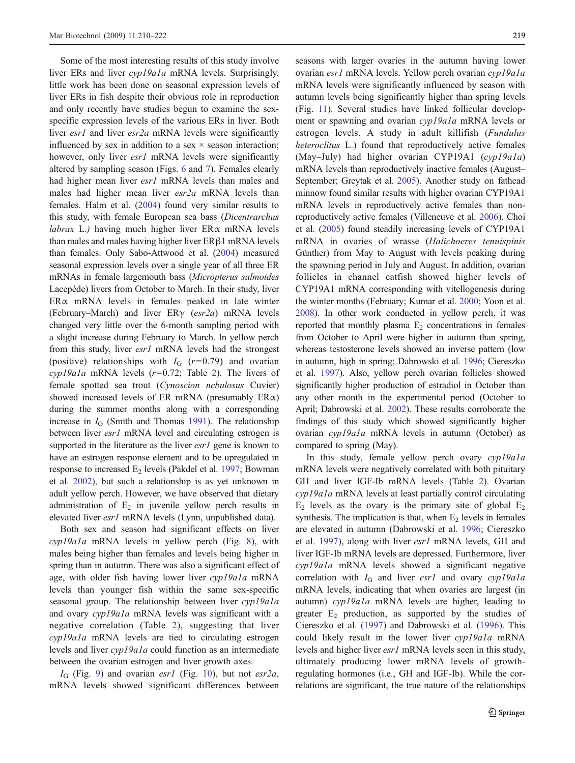Some of the most interesting results of this study involve liver ERs and liver cyp19a1a mRNA levels. Surprisingly, little work has been done on seasonal expression levels of liver ERs in fish despite their obvious role in reproduction and only recently have studies begun to examine the sexspecific expression levels of the various ERs in liver. Both liver esr1 and liver esr2a mRNA levels were significantly influenced by sex in addition to a sex  $\times$  season interaction; however, only liver *esr1* mRNA levels were significantly altered by sampling season (Figs. [6](#page-5-0) and [7](#page-5-0)). Females clearly had higher mean liver *esr1* mRNA levels than males and males had higher mean liver esr2a mRNA levels than females. Halm et al. [\(2004](#page-11-0)) found very similar results to this study, with female European sea bass (Dicentrarchus *labrax* L.) having much higher liver  $ER\alpha$  mRNA levels than males and males having higher liver ERβ1 mRNA levels than females. Only Sabo-Attwood et al. ([2004](#page-11-0)) measured seasonal expression levels over a single year of all three ER mRNAs in female largemouth bass (Micropterus salmoides Lacepède) livers from October to March. In their study, liver  $ER\alpha$  mRNA levels in females peaked in late winter (February–March) and liver  $ER\gamma$  (esr2a) mRNA levels changed very little over the 6-month sampling period with a slight increase during February to March. In yellow perch from this study, liver esr1 mRNA levels had the strongest (positive) relationships with  $I_G$  ( $r=0.79$ ) and ovarian  $cyp19a1a$  mRNA levels  $(r=0.72;$  $(r=0.72;$  $(r=0.72;$  Table 2). The livers of female spotted sea trout (Cynoscion nebulosus Cuvier) showed increased levels of ER mRNA (presumably  $ER\alpha$ ) during the summer months along with a corresponding increase in  $I_G$  (Smith and Thomas [1991\)](#page-12-0). The relationship between liver *esr1* mRNA level and circulating estrogen is supported in the literature as the liver  $\exp l$  gene is known to have an estrogen response element and to be upregulated in response to increased  $E_2$  levels (Pakdel et al. [1997](#page-11-0); Bowman et al. [2002](#page-10-0)), but such a relationship is as yet unknown in adult yellow perch. However, we have observed that dietary administration of  $E_2$  in juvenile yellow perch results in elevated liver *esr1* mRNA levels (Lynn, unpublished data).

Both sex and season had significant effects on liver cyp19a1a mRNA levels in yellow perch (Fig. [8](#page-6-0)), with males being higher than females and levels being higher in spring than in autumn. There was also a significant effect of age, with older fish having lower liver cyp19a1a mRNA levels than younger fish within the same sex-specific seasonal group. The relationship between liver cyp19a1a and ovary cyp19a1a mRNA levels was significant with a negative correlation (Table [2](#page-7-0)), suggesting that liver cyp19a1a mRNA levels are tied to circulating estrogen levels and liver cyp19a1a could function as an intermediate between the ovarian estrogen and liver growth axes.

 $I_G$  (Fig. [9](#page-6-0)) and ovarian *esr1* (Fig. [10\)](#page-6-0), but not *esr2a*, mRNA levels showed significant differences between seasons with larger ovaries in the autumn having lower ovarian esr1 mRNA levels. Yellow perch ovarian cyp19a1a mRNA levels were significantly influenced by season with autumn levels being significantly higher than spring levels (Fig. [11](#page-7-0)). Several studies have linked follicular development or spawning and ovarian cyp19a1a mRNA levels or estrogen levels. A study in adult killifish (Fundulus heteroclitus L.) found that reproductively active females (May–July) had higher ovarian CYP19A1 (cyp19a1a) mRNA levels than reproductively inactive females (August– September; Greytak et al. [2005](#page-11-0)). Another study on fathead minnow found similar results with higher ovarian CYP19A1 mRNA levels in reproductively active females than nonreproductively active females (Villeneuve et al. [2006](#page-12-0)). Choi et al. ([2005](#page-10-0)) found steadily increasing levels of CYP19A1 mRNA in ovaries of wrasse (Halichoeres tenuispinis Günther) from May to August with levels peaking during the spawning period in July and August. In addition, ovarian follicles in channel catfish showed higher levels of CYP19A1 mRNA corresponding with vitellogenesis during the winter months (February; Kumar et al. [2000;](#page-11-0) Yoon et al. [2008\)](#page-12-0). In other work conducted in yellow perch, it was reported that monthly plasma  $E_2$  concentrations in females from October to April were higher in autumn than spring, whereas testosterone levels showed an inverse pattern (low in autumn, high in spring; Dabrowski et al. [1996;](#page-10-0) Ciereszko et al. [1997\)](#page-10-0). Also, yellow perch ovarian follicles showed significantly higher production of estradiol in October than any other month in the experimental period (October to April; Dabrowski et al. [2002\)](#page-10-0). These results corroborate the findings of this study which showed significantly higher ovarian cyp19a1a mRNA levels in autumn (October) as compared to spring (May).

In this study, female yellow perch ovary cyp19a1a mRNA levels were negatively correlated with both pituitary GH and liver IGF-Ib mRNA levels (Table [2](#page-7-0)). Ovarian cyp19a1a mRNA levels at least partially control circulating  $E_2$  levels as the ovary is the primary site of global  $E_2$ synthesis. The implication is that, when  $E<sub>2</sub>$  levels in females are elevated in autumn (Dabrowski et al. [1996](#page-10-0); Ciereszko et al. [1997](#page-10-0)), along with liver *esr1* mRNA levels, GH and liver IGF-Ib mRNA levels are depressed. Furthermore, liver cyp19a1a mRNA levels showed a significant negative correlation with  $I_G$  and liver esr1 and ovary cyp19a1a mRNA levels, indicating that when ovaries are largest (in autumn) cyp19a1a mRNA levels are higher, leading to greater  $E_2$  production, as supported by the studies of Ciereszko et al. [\(1997](#page-10-0)) and Dabrowski et al. [\(1996](#page-10-0)). This could likely result in the lower liver cyp19a1a mRNA levels and higher liver esr1 mRNA levels seen in this study, ultimately producing lower mRNA levels of growthregulating hormones (i.e., GH and IGF-Ib). While the correlations are significant, the true nature of the relationships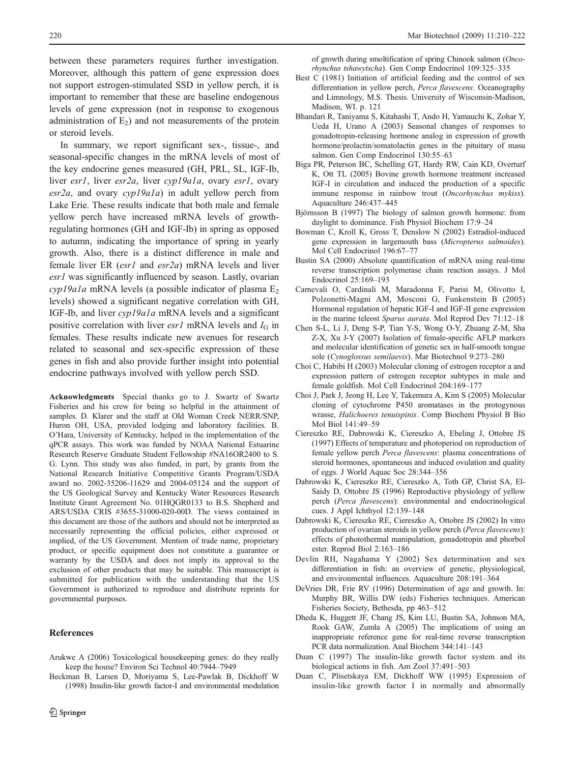<span id="page-10-0"></span>between these parameters requires further investigation. Moreover, although this pattern of gene expression does not support estrogen-stimulated SSD in yellow perch, it is important to remember that these are baseline endogenous levels of gene expression (not in response to exogenous administration of  $E_2$ ) and not measurements of the protein or steroid levels.

In summary, we report significant sex-, tissue-, and seasonal-specific changes in the mRNA levels of most of the key endocrine genes measured (GH, PRL, SL, IGF-Ib, liver esr1, liver esr2a, liver cyp19a1a, ovary esr1, ovary esr2a, and ovary cyp19a1a) in adult yellow perch from Lake Erie. These results indicate that both male and female yellow perch have increased mRNA levels of growthregulating hormones (GH and IGF-Ib) in spring as opposed to autumn, indicating the importance of spring in yearly growth. Also, there is a distinct difference in male and female liver ER (esr1 and esr2a) mRNA levels and liver esr1 was significantly influenced by season. Lastly, ovarian  $cyp19a1a$  mRNA levels (a possible indicator of plasma  $E_2$ levels) showed a significant negative correlation with GH, IGF-Ib, and liver cyp19a1a mRNA levels and a significant positive correlation with liver *esr1* mRNA levels and  $I_G$  in females. These results indicate new avenues for research related to seasonal and sex-specific expression of these genes in fish and also provide further insight into potential endocrine pathways involved with yellow perch SSD.

Acknowledgments Special thanks go to J. Swartz of Swartz Fisheries and his crew for being so helpful in the attainment of samples. D. Klarer and the staff at Old Woman Creek NERR/SNP, Huron OH, USA, provided lodging and laboratory facilities. B. O'Hara, University of Kentucky, helped in the implementation of the qPCR assays. This work was funded by NOAA National Estuarine Research Reserve Graduate Student Fellowship #NA16OR2400 to S. G. Lynn. This study was also funded, in part, by grants from the National Research Initiative Competitive Grants Program/USDA award no. 2002-35206-11629 and 2004-05124 and the support of the US Geological Survey and Kentucky Water Resources Research Institute Grant Agreement No. 01HQGR0133 to B.S. Shepherd and ARS/USDA CRIS #3655-31000-020-00D. The views contained in this document are those of the authors and should not be interpreted as necessarily representing the official policies, either expressed or implied, of the US Government. Mention of trade name, proprietary product, or specific equipment does not constitute a guarantee or warranty by the USDA and does not imply its approval to the exclusion of other products that may be suitable. This manuscript is submitted for publication with the understanding that the US Government is authorized to reproduce and distribute reprints for governmental purposes.

#### References

- Arukwe A (2006) Toxicological housekeeping genes: do they really keep the house? Environ Sci Technol 40:7944–7949
- Beckman B, Larsen D, Moriyama S, Lee-Pawlak B, Dickhoff W (1998) Insulin-like growth factor-I and environmental modulation

of growth during smoltification of spring Chinook salmon (Oncorhynchus tshawytscha). Gen Comp Endocrinol 109:325–335

- Best C (1981) Initiation of artificial feeding and the control of sex differentiation in yellow perch, Perca flavescens. Oceanography and Limnology, M.S. Thesis. University of Wisconsin-Madison, Madison, WI. p. 121
- Bhandari R, Taniyama S, Kitahashi T, Ando H, Yamauchi K, Zohar Y, Ueda H, Urano A (2003) Seasonal changes of responses to gonadotropin-releasing hormone analog in expression of growth hormone/prolactin/somatolactin genes in the pituitary of masu salmon. Gen Comp Endocrinol 130:55–63
- Biga PR, Peterson BC, Schelling GT, Hardy RW, Cain KD, Overturf K, Ott TL (2005) Bovine growth hormone treatment increased IGF-I in circulation and induced the production of a specific immune response in rainbow trout (Oncorhynchus mykiss). Aquaculture 246:437–445
- Björnsson B (1997) The biology of salmon growth hormone: from daylight to dominance. Fish Physiol Biochem 17:9–24
- Bowman C, Kroll K, Gross T, Denslow N (2002) Estradiol-induced gene expression in largemouth bass (Micropterus salmoides). Mol Cell Endocrinol 196:67–77
- Bustin SA (2000) Absolute quantification of mRNA using real-time reverse transcription polymerase chain reaction assays. J Mol Endocrinol 25:169–193
- Carnevali O, Cardinali M, Maradonna F, Parisi M, Olivotto I, Polzonetti-Magni AM, Mosconi G, Funkenstein B (2005) Hormonal regulation of hepatic IGF-I and IGF-II gene expression in the marine teleost Sparus aurata. Mol Reprod Dev 71:12–18
- Chen S-L, Li J, Deng S-P, Tian Y-S, Wong O-Y, Zhuang Z-M, Sha Z-X, Xu J-Y (2007) Isolation of female-specific AFLP markers and molecular identification of genetic sex in half-smooth tongue sole (Cynoglossus semilaevis). Mar Biotechnol 9:273–280
- Choi C, Habibi H (2003) Molecular cloning of estrogen receptor a and expression pattern of estrogen receptor subtypes in male and female goldfish. Mol Cell Endocrinol 204:169–177
- Choi J, Park J, Jeong H, Lee Y, Takemura A, Kim S (2005) Molecular cloning of cytochrome P450 aromatases in the protogynous wrasse, Halichoeres tenuispinis. Comp Biochem Physiol B Bio Mol Biol 141:49–59
- Ciereszko RE, Dabrowski K, Ciereszko A, Ebeling J, Ottobre JS (1997) Effects of temperature and photoperiod on reproduction of female yellow perch Perca flavescens: plasma concentrations of steroid hormones, spontaneous and induced ovulation and quality of eggs. J World Aquac Soc 28:344–356
- Dabrowski K, Ciereszko RE, Ciereszko A, Toth GP, Christ SA, El-Saidy D, Ottobre JS (1996) Reproductive physiology of yellow perch (Perca flavescens): environmental and endocrinological cues. J Appl Ichthyol 12:139–148
- Dabrowski K, Ciereszko RE, Ciereszko A, Ottobre JS (2002) In vitro production of ovarian steroids in yellow perch (Perca flavescens): effects of photothermal manipulation, gonadotropin and phorbol ester. Reprod Biol 2:163–186
- Devlin RH, Nagahama Y (2002) Sex determination and sex differentiation in fish: an overview of genetic, physiological, and environmental influences. Aquaculture 208:191–364
- DeVries DR, Frie RV (1996) Determination of age and growth. In: Murphy BR, Willis DW (eds) Fisheries techniques. American Fisheries Society, Bethesda, pp 463–512
- Dheda K, Huggett JF, Chang JS, Kim LU, Bustin SA, Johnson MA, Rook GAW, Zumla A (2005) The implications of using an inappropriate reference gene for real-time reverse transcription PCR data normalization. Anal Biochem 344:141–143
- Duan C (1997) The insulin-like growth factor system and its biological actions in fish. Am Zool 37:491–503
- Duan C, Plisetskaya EM, Dickhoff WW (1995) Expression of insulin-like growth factor I in normally and abnormally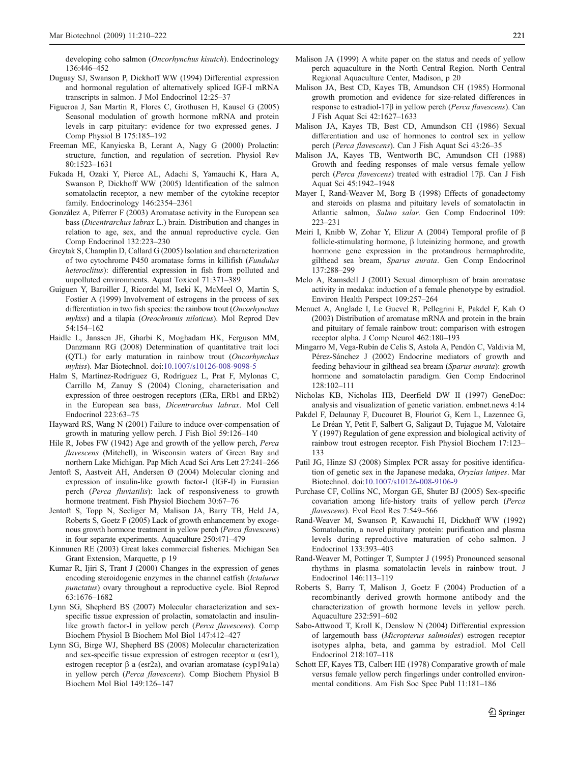<span id="page-11-0"></span>developing coho salmon (Oncorhynchus kisutch). Endocrinology 136:446–452

- Duguay SJ, Swanson P, Dickhoff WW (1994) Differential expression and hormonal regulation of alternatively spliced IGF-I mRNA transcripts in salmon. J Mol Endocrinol 12:25–37
- Figueroa J, San Martín R, Flores C, Grothusen H, Kausel G (2005) Seasonal modulation of growth hormone mRNA and protein levels in carp pituitary: evidence for two expressed genes. J Comp Physiol B 175:185–192
- Freeman ME, Kanyicska B, Lerant A, Nagy G (2000) Prolactin: structure, function, and regulation of secretion. Physiol Rev 80:1523–1631
- Fukada H, Ozaki Y, Pierce AL, Adachi S, Yamauchi K, Hara A, Swanson P, Dickhoff WW (2005) Identification of the salmon somatolactin receptor, a new member of the cytokine receptor family. Endocrinology 146:2354–2361
- González A, Piferrer F (2003) Aromatase activity in the European sea bass (Dicentrarchus labrax L.) brain. Distribution and changes in relation to age, sex, and the annual reproductive cycle. Gen Comp Endocrinol 132:223–230
- Greytak S, Champlin D, Callard G (2005) Isolation and characterization of two cytochrome P450 aromatase forms in killifish (Fundulus heteroclitus): differential expression in fish from polluted and unpolluted environments. Aquat Toxicol 71:371–389
- Guiguen Y, Baroiller J, Ricordel M, Iseki K, McMeel O, Martin S, Fostier A (1999) Involvement of estrogens in the process of sex differentiation in two fish species: the rainbow trout (Oncorhynchus mykiss) and a tilapia (Oreochromis niloticus). Mol Reprod Dev 54:154–162
- Haidle L, Janssen JE, Gharbi K, Moghadam HK, Ferguson MM, Danzmann RG (2008) Determination of quantitative trait loci (QTL) for early maturation in rainbow trout (Oncorhynchus mykiss). Mar Biotechnol. doi:[10.1007/s10126-008-9098-5](http://dx.doi.org/10.1007/s10126-008-9098-5)
- Halm S, Martínez-Rodríguez G, Rodríguez L, Prat F, Mylonas C, Carrillo M, Zanuy S (2004) Cloning, characterisation and expression of three oestrogen receptors (ERa, ERb1 and ERb2) in the European sea bass, Dicentrarchus labrax. Mol Cell Endocrinol 223:63–75
- Hayward RS, Wang N (2001) Failure to induce over-compensation of growth in maturing yellow perch. J Fish Biol 59:126–140
- Hile R, Jobes FW (1942) Age and growth of the yellow perch, Perca flavescens (Mitchell), in Wisconsin waters of Green Bay and northern Lake Michigan. Pap Mich Acad Sci Arts Lett 27:241–266
- Jentoft S, Aastveit AH, Andersen Ø (2004) Molecular cloning and expression of insulin-like growth factor-I (IGF-I) in Eurasian perch (Perca fluviatilis): lack of responsiveness to growth hormone treatment. Fish Physiol Biochem 30:67–76
- Jentoft S, Topp N, Seeliger M, Malison JA, Barry TB, Held JA, Roberts S, Goetz F (2005) Lack of growth enhancement by exogenous growth hormone treatment in yellow perch (Perca flavescens) in four separate experiments. Aquaculture 250:471–479
- Kinnunen RE (2003) Great lakes commercial fisheries. Michigan Sea Grant Extension, Marquette, p 19
- Kumar R, Ijiri S, Trant J (2000) Changes in the expression of genes encoding steroidogenic enzymes in the channel catfish (Ictalurus punctatus) ovary throughout a reproductive cycle. Biol Reprod 63:1676–1682
- Lynn SG, Shepherd BS (2007) Molecular characterization and sexspecific tissue expression of prolactin, somatolactin and insulinlike growth factor-I in yellow perch (Perca flavescens). Comp Biochem Physiol B Biochem Mol Biol 147:412–427
- Lynn SG, Birge WJ, Shepherd BS (2008) Molecular characterization and sex-specific tissue expression of estrogen receptor  $\alpha$  (esr1), estrogen receptor  $\beta$  a (esr2a), and ovarian aromatase (cyp19a1a) in yellow perch (Perca flavescens). Comp Biochem Physiol B Biochem Mol Biol 149:126–147
- Malison JA (1999) A white paper on the status and needs of yellow perch aquaculture in the North Central Region. North Central Regional Aquaculture Center, Madison, p 20
- Malison JA, Best CD, Kayes TB, Amundson CH (1985) Hormonal growth promotion and evidence for size-related differences in response to estradiol-17 $\beta$  in yellow perch (*Perca flavescens*). Can J Fish Aquat Sci 42:1627–1633
- Malison JA, Kayes TB, Best CD, Amundson CH (1986) Sexual differentiation and use of hormones to control sex in yellow perch (Perca flavescens). Can J Fish Aquat Sci 43:26–35
- Malison JA, Kayes TB, Wentworth BC, Amundson CH (1988) Growth and feeding responses of male versus female yellow perch (Perca flavescens) treated with estradiol  $17\beta$ . Can J Fish Aquat Sci 45:1942–1948
- Mayer I, Rand-Weaver M, Borg B (1998) Effects of gonadectomy and steroids on plasma and pituitary levels of somatolactin in Atlantic salmon, Salmo salar. Gen Comp Endocrinol 109: 223–231
- Meiri I, Knibb W, Zohar Y, Elizur A (2004) Temporal profile of  $\beta$ follicle-stimulating hormone,  $\beta$  luteinizing hormone, and growth hormone gene expression in the protandrous hermaphrodite, gilthead sea bream, Sparus aurata. Gen Comp Endocrinol 137:288–299
- Melo A, Ramsdell J (2001) Sexual dimorphism of brain aromatase activity in medaka: induction of a female phenotype by estradiol. Environ Health Perspect 109:257–264
- Menuet A, Anglade I, Le Guevel R, Pellegrini E, Pakdel F, Kah O (2003) Distribution of aromatase mRNA and protein in the brain and pituitary of female rainbow trout: comparison with estrogen receptor alpha. J Comp Neurol 462:180–193
- Mingarro M, Vega-Rubín de Celis S, Astola A, Pendón C, Valdivia M, Pérez-Sánchez J (2002) Endocrine mediators of growth and feeding behaviour in gilthead sea bream (Sparus aurata): growth hormone and somatolactin paradigm. Gen Comp Endocrinol 128:102–111
- Nicholas KB, Nicholas HB, Deerfield DW II (1997) GeneDoc: analysis and visualization of genetic variation. embnet.news 4:14
- Pakdel F, Delaunay F, Ducouret B, Flouriot G, Kern L, Lazennec G, Le Dréan Y, Petit F, Salbert G, Saligaut D, Tujague M, Valotaire Y (1997) Regulation of gene expression and biological activity of rainbow trout estrogen receptor. Fish Physiol Biochem 17:123– 133
- Patil JG, Hinze SJ (2008) Simplex PCR assay for positive identification of genetic sex in the Japanese medaka, Oryzias latipes. Mar Biotechnol. doi:[10.1007/s10126-008-9106-9](http://dx.doi.org/10.1007/s10126-008-9106-9)
- Purchase CF, Collins NC, Morgan GE, Shuter BJ (2005) Sex-specific covariation among life-history traits of yellow perch (Perca flavescens). Evol Ecol Res 7:549–566
- Rand-Weaver M, Swanson P, Kawauchi H, Dickhoff WW (1992) Somatolactin, a novel pituitary protein: purification and plasma levels during reproductive maturation of coho salmon. J Endocrinol 133:393–403
- Rand-Weaver M, Pottinger T, Sumpter J (1995) Pronounced seasonal rhythms in plasma somatolactin levels in rainbow trout. J Endocrinol 146:113–119
- Roberts S, Barry T, Malison J, Goetz F (2004) Production of a recombinantly derived growth hormone antibody and the characterization of growth hormone levels in yellow perch. Aquaculture 232:591–602
- Sabo-Attwood T, Kroll K, Denslow N (2004) Differential expression of largemouth bass (Micropterus salmoides) estrogen receptor isotypes alpha, beta, and gamma by estradiol. Mol Cell Endocrinol 218:107–118
- Schott EF, Kayes TB, Calbert HE (1978) Comparative growth of male versus female yellow perch fingerlings under controlled environmental conditions. Am Fish Soc Spec Publ 11:181–186